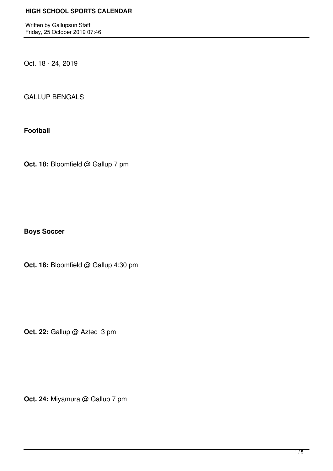Written by Gallupsun Staff Friday, 25 October 2019 07:46

Oct. 18 - 24, 2019

GALLUP BENGALS

**Football**

**Oct. 18:** Bloomfield @ Gallup 7 pm

**Boys Soccer**

**Oct. 18:** Bloomfield @ Gallup 4:30 pm

Oct. 22: Gallup @ Aztec 3 pm

**Oct. 24:** Miyamura @ Gallup 7 pm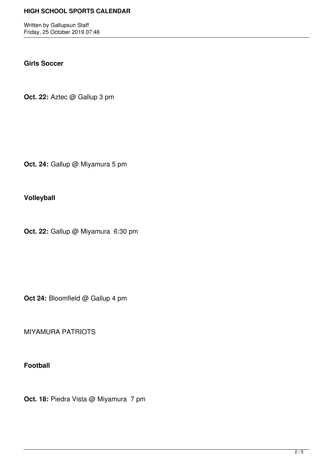Written by Gallupsun Staff Friday, 25 October 2019 07:46

#### **Girls Soccer**

**Oct. 22:** Aztec @ Gallup 3 pm

**Oct. 24:** Gallup @ Miyamura 5 pm

**Volleyball**

**Oct. 22:** Gallup @ Miyamura 6:30 pm

**Oct 24:** Bloomfield @ Gallup 4 pm

MIYAMURA PATRIOTS

**Football**

**Oct. 18:** Piedra Vista @ Miyamura 7 pm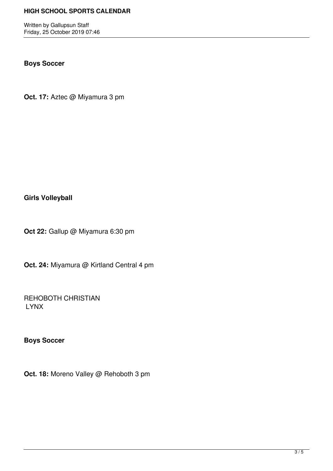Written by Gallupsun Staff Friday, 25 October 2019 07:46

# **Boys Soccer**

**Oct. 17:** Aztec @ Miyamura 3 pm

**Girls Volleyball**

**Oct 22:** Gallup @ Miyamura 6:30 pm

**Oct. 24:** Miyamura @ Kirtland Central 4 pm

REHOBOTH CHRISTIAN LYNX

**Boys Soccer**

**Oct. 18:** Moreno Valley @ Rehoboth 3 pm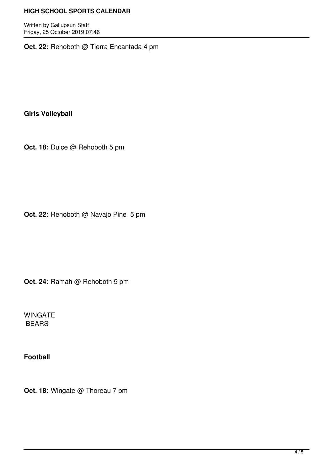Written by Gallupsun Staff Friday, 25 October 2019 07:46

**Oct. 22:** Rehoboth @ Tierra Encantada 4 pm

**Girls Volleyball**

**Oct. 18:** Dulce @ Rehoboth 5 pm

**Oct. 22:** Rehoboth @ Navajo Pine 5 pm

**Oct. 24:** Ramah @ Rehoboth 5 pm

WINGATE BEARS

**Football**

**Oct. 18:** Wingate @ Thoreau 7 pm